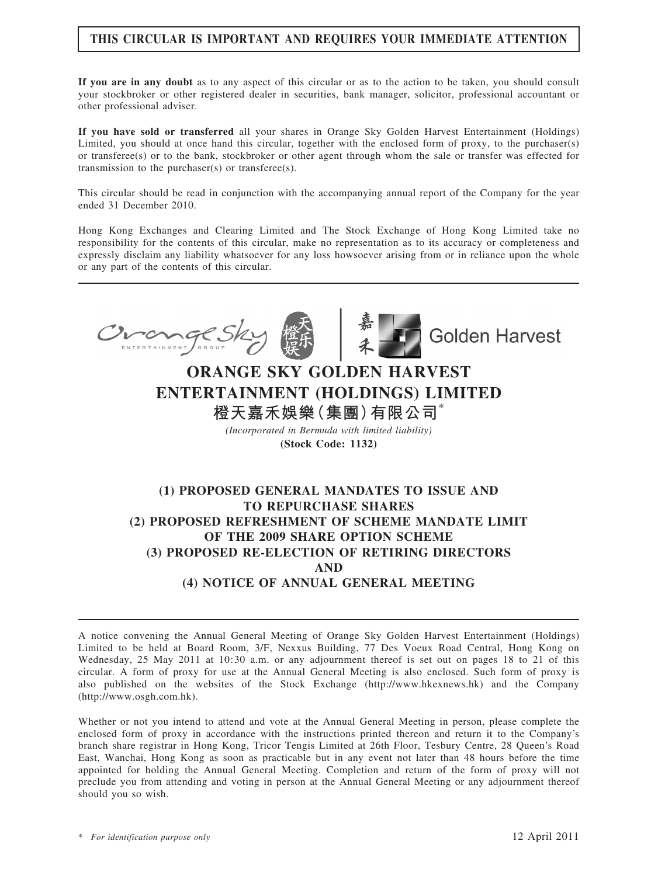### THIS CIRCULAR IS IMPORTANT AND REQUIRES YOUR IMMEDIATE ATTENTION

If you are in any doubt as to any aspect of this circular or as to the action to be taken, you should consult your stockbroker or other registered dealer in securities, bank manager, solicitor, professional accountant or other professional adviser.

If you have sold or transferred all your shares in Orange Sky Golden Harvest Entertainment (Holdings) Limited, you should at once hand this circular, together with the enclosed form of proxy, to the purchaser(s) or transferee(s) or to the bank, stockbroker or other agent through whom the sale or transfer was effected for transmission to the purchaser(s) or transferee(s).

This circular should be read in conjunction with the accompanying annual report of the Company for the year ended 31 December 2010.

Hong Kong Exchanges and Clearing Limited and The Stock Exchange of Hong Kong Limited take no responsibility for the contents of this circular, make no representation as to its accuracy or completeness and expressly disclaim any liability whatsoever for any loss howsoever arising from or in reliance upon the whole or any part of the contents of this circular.



## ORANGE SKY GOLDEN HARVEST ENTERTAINMENT (HOLDINGS) LIMITED 橙天嘉禾娛樂(集團)有限公司\*

(Incorporated in Bermuda with limited liability) (Stock Code: 1132)

### (1) PROPOSED GENERAL MANDATES TO ISSUE AND TO REPURCHASE SHARES (2) PROPOSED REFRESHMENT OF SCHEME MANDATE LIMIT OF THE 2009 SHARE OPTION SCHEME (3) PROPOSED RE-ELECTION OF RETIRING DIRECTORS AND (4) NOTICE OF ANNUAL GENERAL MEETING

A notice convening the Annual General Meeting of Orange Sky Golden Harvest Entertainment (Holdings) Limited to be held at Board Room, 3/F, Nexxus Building, 77 Des Voeux Road Central, Hong Kong on Wednesday, 25 May 2011 at 10:30 a.m. or any adjournment thereof is set out on pages 18 to 21 of this circular. A form of proxy for use at the Annual General Meeting is also enclosed. Such form of proxy is also published on the websites of the Stock Exchange (http://www.hkexnews.hk) and the Company (http://www.osgh.com.hk).

Whether or not you intend to attend and vote at the Annual General Meeting in person, please complete the enclosed form of proxy in accordance with the instructions printed thereon and return it to the Company's branch share registrar in Hong Kong, Tricor Tengis Limited at 26th Floor, Tesbury Centre, 28 Queen's Road East, Wanchai, Hong Kong as soon as practicable but in any event not later than 48 hours before the time appointed for holding the Annual General Meeting. Completion and return of the form of proxy will not preclude you from attending and voting in person at the Annual General Meeting or any adjournment thereof should you so wish.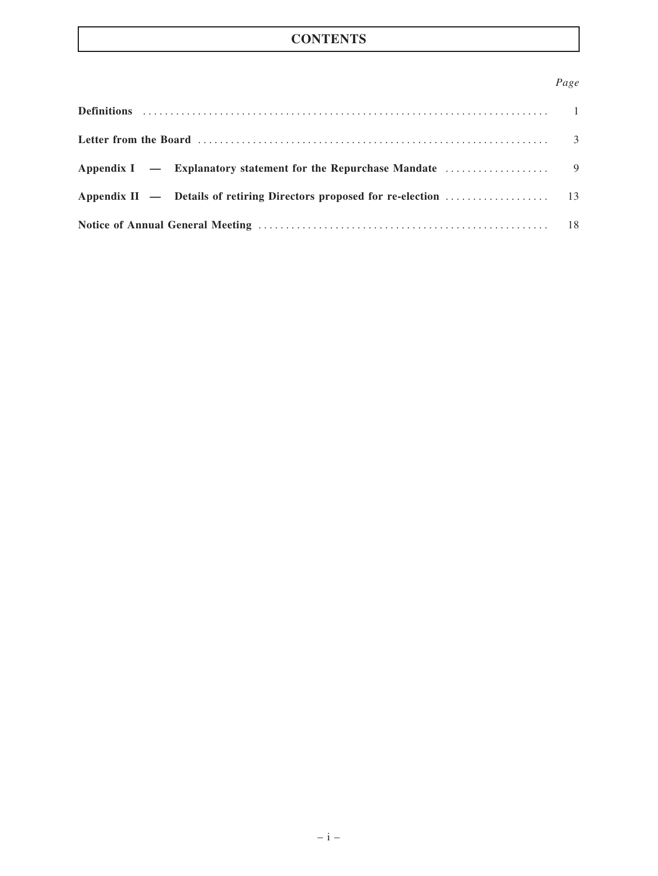### Page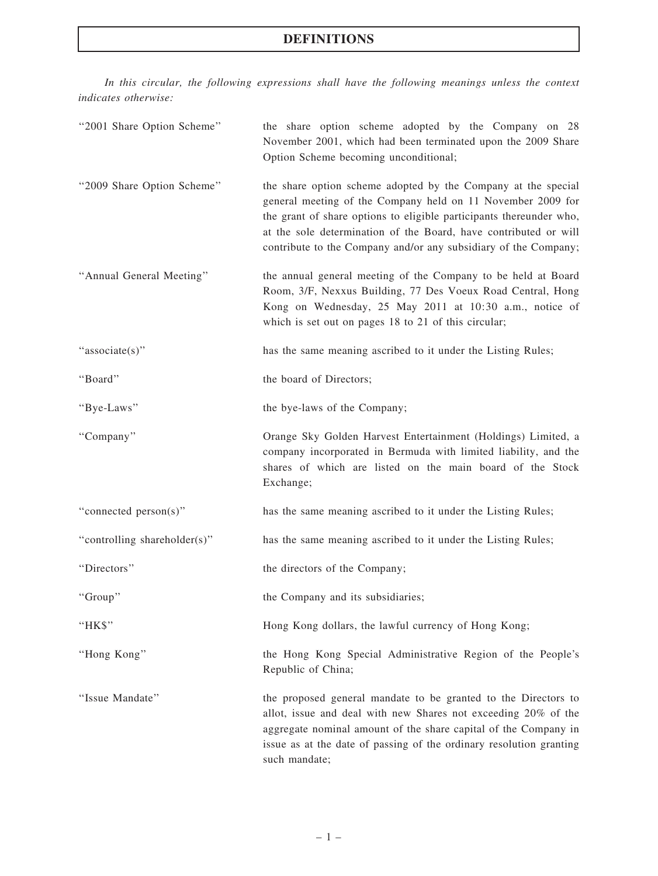### DEFINITIONS

In this circular, the following expressions shall have the following meanings unless the context indicates otherwise:

| "2001 Share Option Scheme"   | the share option scheme adopted by the Company on 28<br>November 2001, which had been terminated upon the 2009 Share<br>Option Scheme becoming unconditional;                                                                                                                                                                              |
|------------------------------|--------------------------------------------------------------------------------------------------------------------------------------------------------------------------------------------------------------------------------------------------------------------------------------------------------------------------------------------|
| "2009 Share Option Scheme"   | the share option scheme adopted by the Company at the special<br>general meeting of the Company held on 11 November 2009 for<br>the grant of share options to eligible participants thereunder who,<br>at the sole determination of the Board, have contributed or will<br>contribute to the Company and/or any subsidiary of the Company; |
| "Annual General Meeting"     | the annual general meeting of the Company to be held at Board<br>Room, 3/F, Nexxus Building, 77 Des Voeux Road Central, Hong<br>Kong on Wednesday, 25 May 2011 at 10:30 a.m., notice of<br>which is set out on pages 18 to 21 of this circular;                                                                                            |
| "associate(s)"               | has the same meaning ascribed to it under the Listing Rules;                                                                                                                                                                                                                                                                               |
| "Board"                      | the board of Directors;                                                                                                                                                                                                                                                                                                                    |
| "Bye-Laws"                   | the bye-laws of the Company;                                                                                                                                                                                                                                                                                                               |
| "Company"                    | Orange Sky Golden Harvest Entertainment (Holdings) Limited, a<br>company incorporated in Bermuda with limited liability, and the<br>shares of which are listed on the main board of the Stock<br>Exchange;                                                                                                                                 |
| "connected person(s)"        | has the same meaning ascribed to it under the Listing Rules;                                                                                                                                                                                                                                                                               |
| "controlling shareholder(s)" | has the same meaning ascribed to it under the Listing Rules;                                                                                                                                                                                                                                                                               |
| "Directors"                  | the directors of the Company;                                                                                                                                                                                                                                                                                                              |
| "Group"                      | the Company and its subsidiaries;                                                                                                                                                                                                                                                                                                          |
| "HK\$"                       | Hong Kong dollars, the lawful currency of Hong Kong;                                                                                                                                                                                                                                                                                       |
| "Hong Kong"                  | the Hong Kong Special Administrative Region of the People's<br>Republic of China;                                                                                                                                                                                                                                                          |
| "Issue Mandate"              | the proposed general mandate to be granted to the Directors to<br>allot, issue and deal with new Shares not exceeding 20% of the<br>aggregate nominal amount of the share capital of the Company in<br>issue as at the date of passing of the ordinary resolution granting<br>such mandate;                                                |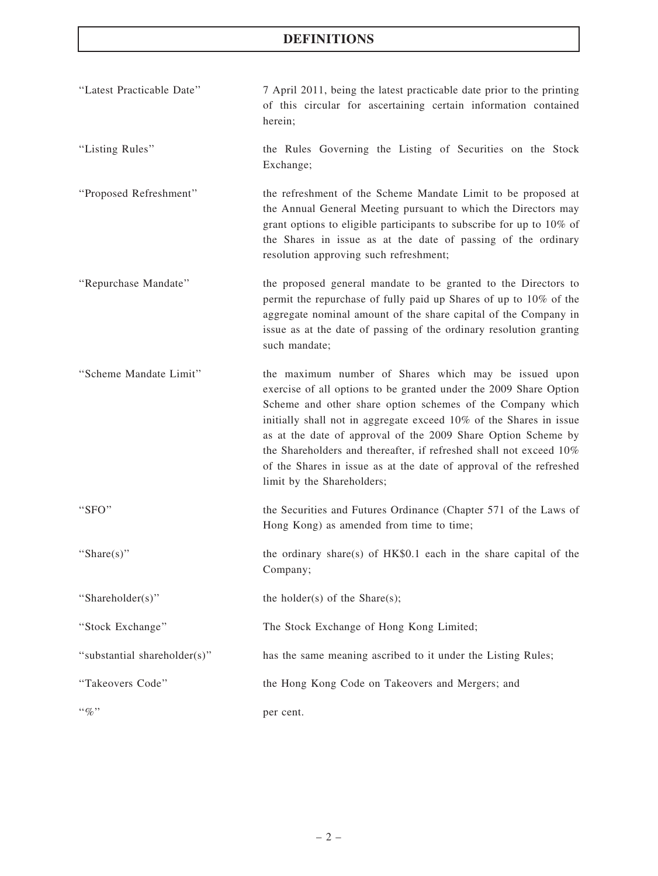### DEFINITIONS

| "Latest Practicable Date"    | 7 April 2011, being the latest practicable date prior to the printing<br>of this circular for ascertaining certain information contained<br>herein;                                                                                                                                                                                                                                                                                                                                                       |
|------------------------------|-----------------------------------------------------------------------------------------------------------------------------------------------------------------------------------------------------------------------------------------------------------------------------------------------------------------------------------------------------------------------------------------------------------------------------------------------------------------------------------------------------------|
| "Listing Rules"              | the Rules Governing the Listing of Securities on the Stock<br>Exchange;                                                                                                                                                                                                                                                                                                                                                                                                                                   |
| "Proposed Refreshment"       | the refreshment of the Scheme Mandate Limit to be proposed at<br>the Annual General Meeting pursuant to which the Directors may<br>grant options to eligible participants to subscribe for up to 10% of<br>the Shares in issue as at the date of passing of the ordinary<br>resolution approving such refreshment;                                                                                                                                                                                        |
| "Repurchase Mandate"         | the proposed general mandate to be granted to the Directors to<br>permit the repurchase of fully paid up Shares of up to 10% of the<br>aggregate nominal amount of the share capital of the Company in<br>issue as at the date of passing of the ordinary resolution granting<br>such mandate;                                                                                                                                                                                                            |
| "Scheme Mandate Limit"       | the maximum number of Shares which may be issued upon<br>exercise of all options to be granted under the 2009 Share Option<br>Scheme and other share option schemes of the Company which<br>initially shall not in aggregate exceed 10% of the Shares in issue<br>as at the date of approval of the 2009 Share Option Scheme by<br>the Shareholders and thereafter, if refreshed shall not exceed 10%<br>of the Shares in issue as at the date of approval of the refreshed<br>limit by the Shareholders; |
| "SFO"                        | the Securities and Futures Ordinance (Chapter 571 of the Laws of<br>Hong Kong) as amended from time to time;                                                                                                                                                                                                                                                                                                                                                                                              |
| "Share $(s)$ "               | the ordinary share(s) of HK\$0.1 each in the share capital of the<br>Company;                                                                                                                                                                                                                                                                                                                                                                                                                             |
| "Shareholder(s)"             | the holder(s) of the Share(s);                                                                                                                                                                                                                                                                                                                                                                                                                                                                            |
| "Stock Exchange"             | The Stock Exchange of Hong Kong Limited;                                                                                                                                                                                                                                                                                                                                                                                                                                                                  |
| "substantial shareholder(s)" | has the same meaning ascribed to it under the Listing Rules;                                                                                                                                                                                                                                                                                                                                                                                                                                              |
| "Takeovers Code"             | the Hong Kong Code on Takeovers and Mergers; and                                                                                                                                                                                                                                                                                                                                                                                                                                                          |
| $``\%"$                      | per cent.                                                                                                                                                                                                                                                                                                                                                                                                                                                                                                 |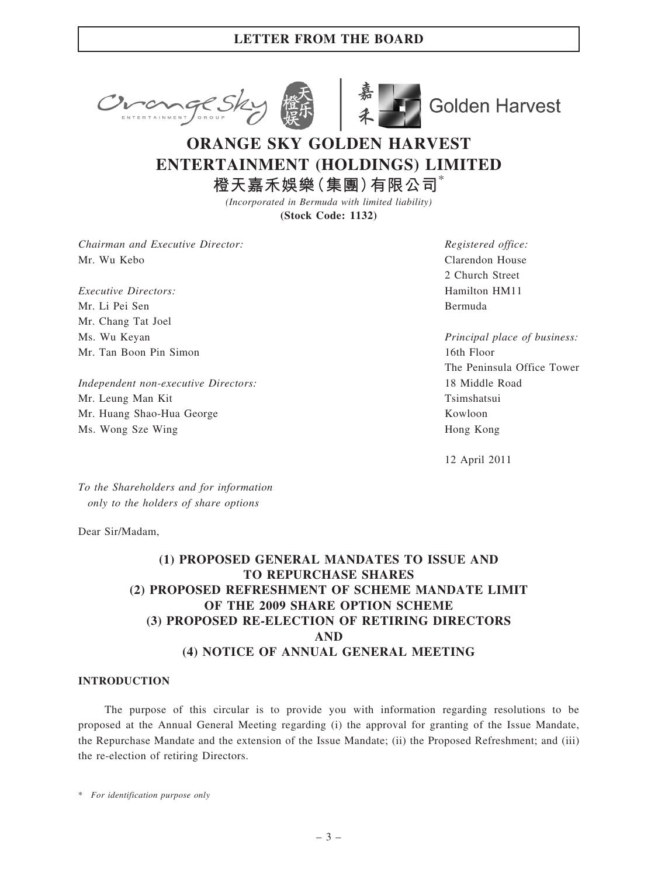



**Golden Harvest** 

# ORANGE SKY GOLDEN HARVEST ENTERTAINMENT (HOLDINGS) LIMITED

橙天嘉禾娛樂(集團)有限公司 $^*$ 

(Incorporated in Bermuda with limited liability) (Stock Code: 1132)

Chairman and Executive Director: Mr. Wu Kebo

Executive Directors: Mr. Li Pei Sen Mr. Chang Tat Joel Ms. Wu Keyan Mr. Tan Boon Pin Simon

Independent non-executive Directors: Mr. Leung Man Kit Mr. Huang Shao-Hua George Ms. Wong Sze Wing

Registered office: Clarendon House 2 Church Street Hamilton HM11 Bermuda

Principal place of business: 16th Floor The Peninsula Office Tower 18 Middle Road Tsimshatsui Kowloon Hong Kong

12 April 2011

To the Shareholders and for information only to the holders of share options

Dear Sir/Madam,

### (1) PROPOSED GENERAL MANDATES TO ISSUE AND TO REPURCHASE SHARES (2) PROPOSED REFRESHMENT OF SCHEME MANDATE LIMIT OF THE 2009 SHARE OPTION SCHEME (3) PROPOSED RE-ELECTION OF RETIRING DIRECTORS AND (4) NOTICE OF ANNUAL GENERAL MEETING

### INTRODUCTION

The purpose of this circular is to provide you with information regarding resolutions to be proposed at the Annual General Meeting regarding (i) the approval for granting of the Issue Mandate, the Repurchase Mandate and the extension of the Issue Mandate; (ii) the Proposed Refreshment; and (iii) the re-election of retiring Directors.

\* For identification purpose only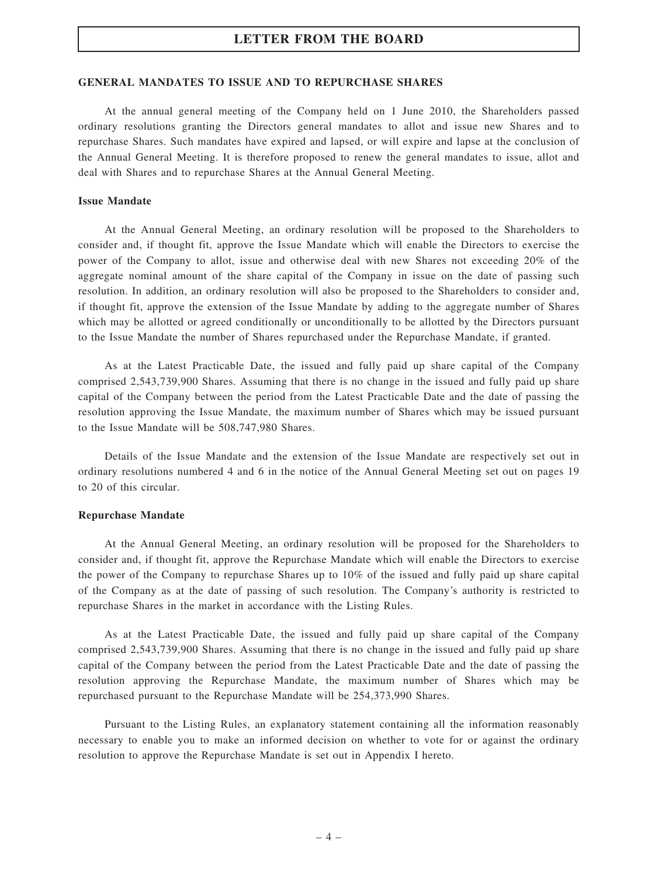#### GENERAL MANDATES TO ISSUE AND TO REPURCHASE SHARES

At the annual general meeting of the Company held on 1 June 2010, the Shareholders passed ordinary resolutions granting the Directors general mandates to allot and issue new Shares and to repurchase Shares. Such mandates have expired and lapsed, or will expire and lapse at the conclusion of the Annual General Meeting. It is therefore proposed to renew the general mandates to issue, allot and deal with Shares and to repurchase Shares at the Annual General Meeting.

#### Issue Mandate

At the Annual General Meeting, an ordinary resolution will be proposed to the Shareholders to consider and, if thought fit, approve the Issue Mandate which will enable the Directors to exercise the power of the Company to allot, issue and otherwise deal with new Shares not exceeding 20% of the aggregate nominal amount of the share capital of the Company in issue on the date of passing such resolution. In addition, an ordinary resolution will also be proposed to the Shareholders to consider and, if thought fit, approve the extension of the Issue Mandate by adding to the aggregate number of Shares which may be allotted or agreed conditionally or unconditionally to be allotted by the Directors pursuant to the Issue Mandate the number of Shares repurchased under the Repurchase Mandate, if granted.

As at the Latest Practicable Date, the issued and fully paid up share capital of the Company comprised 2,543,739,900 Shares. Assuming that there is no change in the issued and fully paid up share capital of the Company between the period from the Latest Practicable Date and the date of passing the resolution approving the Issue Mandate, the maximum number of Shares which may be issued pursuant to the Issue Mandate will be 508,747,980 Shares.

Details of the Issue Mandate and the extension of the Issue Mandate are respectively set out in ordinary resolutions numbered 4 and 6 in the notice of the Annual General Meeting set out on pages 19 to 20 of this circular.

#### Repurchase Mandate

At the Annual General Meeting, an ordinary resolution will be proposed for the Shareholders to consider and, if thought fit, approve the Repurchase Mandate which will enable the Directors to exercise the power of the Company to repurchase Shares up to 10% of the issued and fully paid up share capital of the Company as at the date of passing of such resolution. The Company's authority is restricted to repurchase Shares in the market in accordance with the Listing Rules.

As at the Latest Practicable Date, the issued and fully paid up share capital of the Company comprised 2,543,739,900 Shares. Assuming that there is no change in the issued and fully paid up share capital of the Company between the period from the Latest Practicable Date and the date of passing the resolution approving the Repurchase Mandate, the maximum number of Shares which may be repurchased pursuant to the Repurchase Mandate will be 254,373,990 Shares.

Pursuant to the Listing Rules, an explanatory statement containing all the information reasonably necessary to enable you to make an informed decision on whether to vote for or against the ordinary resolution to approve the Repurchase Mandate is set out in Appendix I hereto.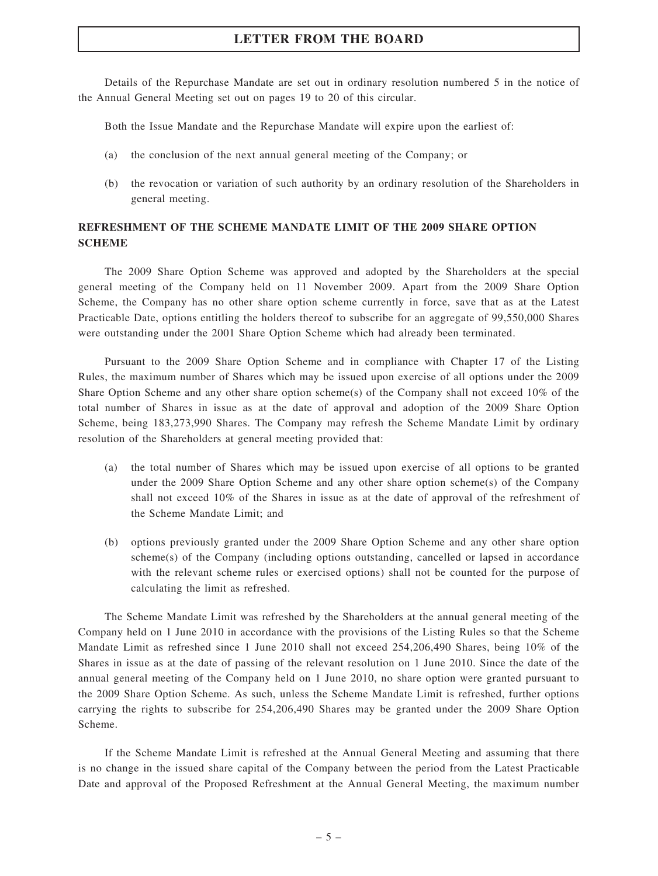Details of the Repurchase Mandate are set out in ordinary resolution numbered 5 in the notice of the Annual General Meeting set out on pages 19 to 20 of this circular.

Both the Issue Mandate and the Repurchase Mandate will expire upon the earliest of:

- (a) the conclusion of the next annual general meeting of the Company; or
- (b) the revocation or variation of such authority by an ordinary resolution of the Shareholders in general meeting.

### REFRESHMENT OF THE SCHEME MANDATE LIMIT OF THE 2009 SHARE OPTION **SCHEME**

The 2009 Share Option Scheme was approved and adopted by the Shareholders at the special general meeting of the Company held on 11 November 2009. Apart from the 2009 Share Option Scheme, the Company has no other share option scheme currently in force, save that as at the Latest Practicable Date, options entitling the holders thereof to subscribe for an aggregate of 99,550,000 Shares were outstanding under the 2001 Share Option Scheme which had already been terminated.

Pursuant to the 2009 Share Option Scheme and in compliance with Chapter 17 of the Listing Rules, the maximum number of Shares which may be issued upon exercise of all options under the 2009 Share Option Scheme and any other share option scheme(s) of the Company shall not exceed 10% of the total number of Shares in issue as at the date of approval and adoption of the 2009 Share Option Scheme, being 183,273,990 Shares. The Company may refresh the Scheme Mandate Limit by ordinary resolution of the Shareholders at general meeting provided that:

- (a) the total number of Shares which may be issued upon exercise of all options to be granted under the 2009 Share Option Scheme and any other share option scheme(s) of the Company shall not exceed 10% of the Shares in issue as at the date of approval of the refreshment of the Scheme Mandate Limit; and
- (b) options previously granted under the 2009 Share Option Scheme and any other share option scheme(s) of the Company (including options outstanding, cancelled or lapsed in accordance with the relevant scheme rules or exercised options) shall not be counted for the purpose of calculating the limit as refreshed.

The Scheme Mandate Limit was refreshed by the Shareholders at the annual general meeting of the Company held on 1 June 2010 in accordance with the provisions of the Listing Rules so that the Scheme Mandate Limit as refreshed since 1 June 2010 shall not exceed 254,206,490 Shares, being 10% of the Shares in issue as at the date of passing of the relevant resolution on 1 June 2010. Since the date of the annual general meeting of the Company held on 1 June 2010, no share option were granted pursuant to the 2009 Share Option Scheme. As such, unless the Scheme Mandate Limit is refreshed, further options carrying the rights to subscribe for 254,206,490 Shares may be granted under the 2009 Share Option Scheme.

If the Scheme Mandate Limit is refreshed at the Annual General Meeting and assuming that there is no change in the issued share capital of the Company between the period from the Latest Practicable Date and approval of the Proposed Refreshment at the Annual General Meeting, the maximum number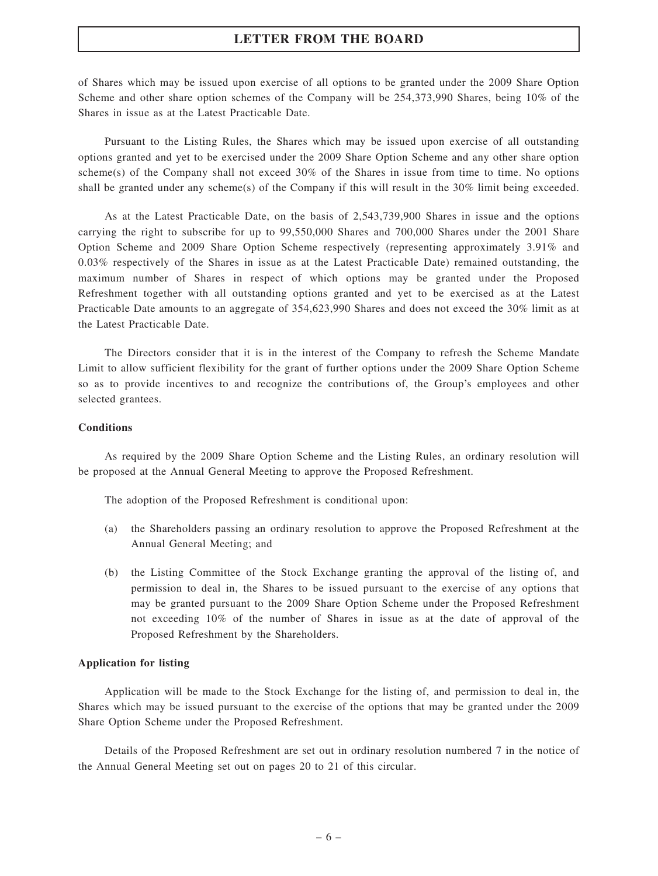of Shares which may be issued upon exercise of all options to be granted under the 2009 Share Option Scheme and other share option schemes of the Company will be 254,373,990 Shares, being 10% of the Shares in issue as at the Latest Practicable Date.

Pursuant to the Listing Rules, the Shares which may be issued upon exercise of all outstanding options granted and yet to be exercised under the 2009 Share Option Scheme and any other share option scheme(s) of the Company shall not exceed  $30\%$  of the Shares in issue from time to time. No options shall be granted under any scheme(s) of the Company if this will result in the 30% limit being exceeded.

As at the Latest Practicable Date, on the basis of 2,543,739,900 Shares in issue and the options carrying the right to subscribe for up to 99,550,000 Shares and 700,000 Shares under the 2001 Share Option Scheme and 2009 Share Option Scheme respectively (representing approximately 3.91% and 0.03% respectively of the Shares in issue as at the Latest Practicable Date) remained outstanding, the maximum number of Shares in respect of which options may be granted under the Proposed Refreshment together with all outstanding options granted and yet to be exercised as at the Latest Practicable Date amounts to an aggregate of 354,623,990 Shares and does not exceed the 30% limit as at the Latest Practicable Date.

The Directors consider that it is in the interest of the Company to refresh the Scheme Mandate Limit to allow sufficient flexibility for the grant of further options under the 2009 Share Option Scheme so as to provide incentives to and recognize the contributions of, the Group's employees and other selected grantees.

### **Conditions**

As required by the 2009 Share Option Scheme and the Listing Rules, an ordinary resolution will be proposed at the Annual General Meeting to approve the Proposed Refreshment.

The adoption of the Proposed Refreshment is conditional upon:

- (a) the Shareholders passing an ordinary resolution to approve the Proposed Refreshment at the Annual General Meeting; and
- (b) the Listing Committee of the Stock Exchange granting the approval of the listing of, and permission to deal in, the Shares to be issued pursuant to the exercise of any options that may be granted pursuant to the 2009 Share Option Scheme under the Proposed Refreshment not exceeding 10% of the number of Shares in issue as at the date of approval of the Proposed Refreshment by the Shareholders.

#### Application for listing

Application will be made to the Stock Exchange for the listing of, and permission to deal in, the Shares which may be issued pursuant to the exercise of the options that may be granted under the 2009 Share Option Scheme under the Proposed Refreshment.

Details of the Proposed Refreshment are set out in ordinary resolution numbered 7 in the notice of the Annual General Meeting set out on pages 20 to 21 of this circular.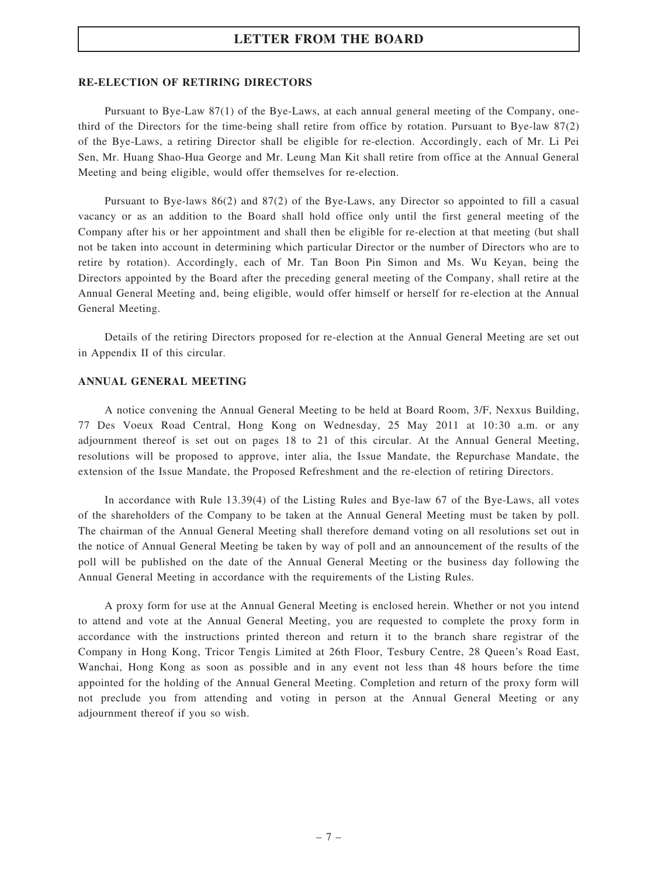#### RE-ELECTION OF RETIRING DIRECTORS

Pursuant to Bye-Law 87(1) of the Bye-Laws, at each annual general meeting of the Company, onethird of the Directors for the time-being shall retire from office by rotation. Pursuant to Bye-law 87(2) of the Bye-Laws, a retiring Director shall be eligible for re-election. Accordingly, each of Mr. Li Pei Sen, Mr. Huang Shao-Hua George and Mr. Leung Man Kit shall retire from office at the Annual General Meeting and being eligible, would offer themselves for re-election.

Pursuant to Bye-laws 86(2) and 87(2) of the Bye-Laws, any Director so appointed to fill a casual vacancy or as an addition to the Board shall hold office only until the first general meeting of the Company after his or her appointment and shall then be eligible for re-election at that meeting (but shall not be taken into account in determining which particular Director or the number of Directors who are to retire by rotation). Accordingly, each of Mr. Tan Boon Pin Simon and Ms. Wu Keyan, being the Directors appointed by the Board after the preceding general meeting of the Company, shall retire at the Annual General Meeting and, being eligible, would offer himself or herself for re-election at the Annual General Meeting.

Details of the retiring Directors proposed for re-election at the Annual General Meeting are set out in Appendix II of this circular.

#### ANNUAL GENERAL MEETING

A notice convening the Annual General Meeting to be held at Board Room, 3/F, Nexxus Building, 77 Des Voeux Road Central, Hong Kong on Wednesday, 25 May 2011 at 10:30 a.m. or any adjournment thereof is set out on pages 18 to 21 of this circular. At the Annual General Meeting, resolutions will be proposed to approve, inter alia, the Issue Mandate, the Repurchase Mandate, the extension of the Issue Mandate, the Proposed Refreshment and the re-election of retiring Directors.

In accordance with Rule 13.39(4) of the Listing Rules and Bye-law 67 of the Bye-Laws, all votes of the shareholders of the Company to be taken at the Annual General Meeting must be taken by poll. The chairman of the Annual General Meeting shall therefore demand voting on all resolutions set out in the notice of Annual General Meeting be taken by way of poll and an announcement of the results of the poll will be published on the date of the Annual General Meeting or the business day following the Annual General Meeting in accordance with the requirements of the Listing Rules.

A proxy form for use at the Annual General Meeting is enclosed herein. Whether or not you intend to attend and vote at the Annual General Meeting, you are requested to complete the proxy form in accordance with the instructions printed thereon and return it to the branch share registrar of the Company in Hong Kong, Tricor Tengis Limited at 26th Floor, Tesbury Centre, 28 Queen's Road East, Wanchai, Hong Kong as soon as possible and in any event not less than 48 hours before the time appointed for the holding of the Annual General Meeting. Completion and return of the proxy form will not preclude you from attending and voting in person at the Annual General Meeting or any adjournment thereof if you so wish.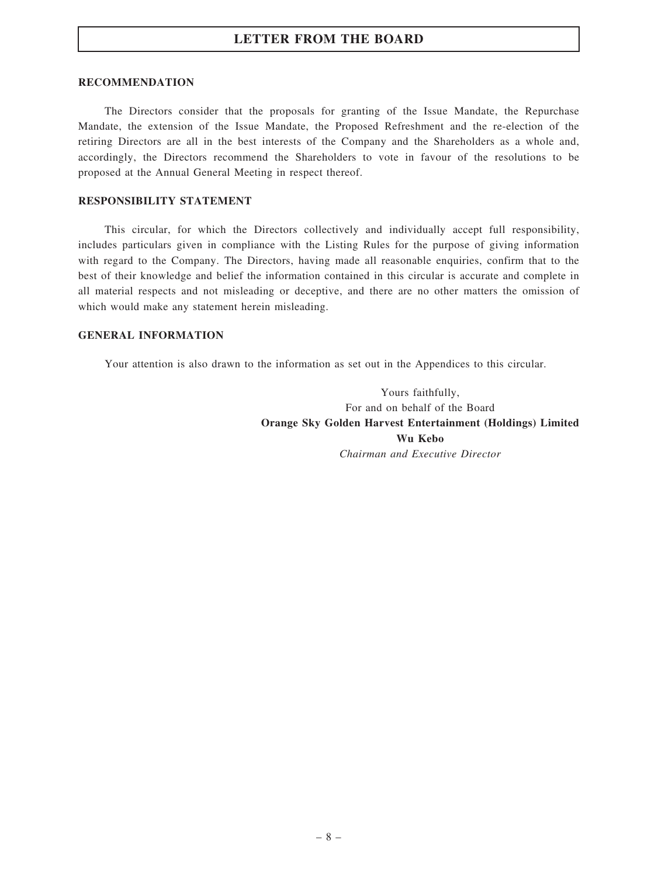#### RECOMMENDATION

The Directors consider that the proposals for granting of the Issue Mandate, the Repurchase Mandate, the extension of the Issue Mandate, the Proposed Refreshment and the re-election of the retiring Directors are all in the best interests of the Company and the Shareholders as a whole and, accordingly, the Directors recommend the Shareholders to vote in favour of the resolutions to be proposed at the Annual General Meeting in respect thereof.

#### RESPONSIBILITY STATEMENT

This circular, for which the Directors collectively and individually accept full responsibility, includes particulars given in compliance with the Listing Rules for the purpose of giving information with regard to the Company. The Directors, having made all reasonable enquiries, confirm that to the best of their knowledge and belief the information contained in this circular is accurate and complete in all material respects and not misleading or deceptive, and there are no other matters the omission of which would make any statement herein misleading.

### GENERAL INFORMATION

Your attention is also drawn to the information as set out in the Appendices to this circular.

Yours faithfully, For and on behalf of the Board Orange Sky Golden Harvest Entertainment (Holdings) Limited Wu Kebo Chairman and Executive Director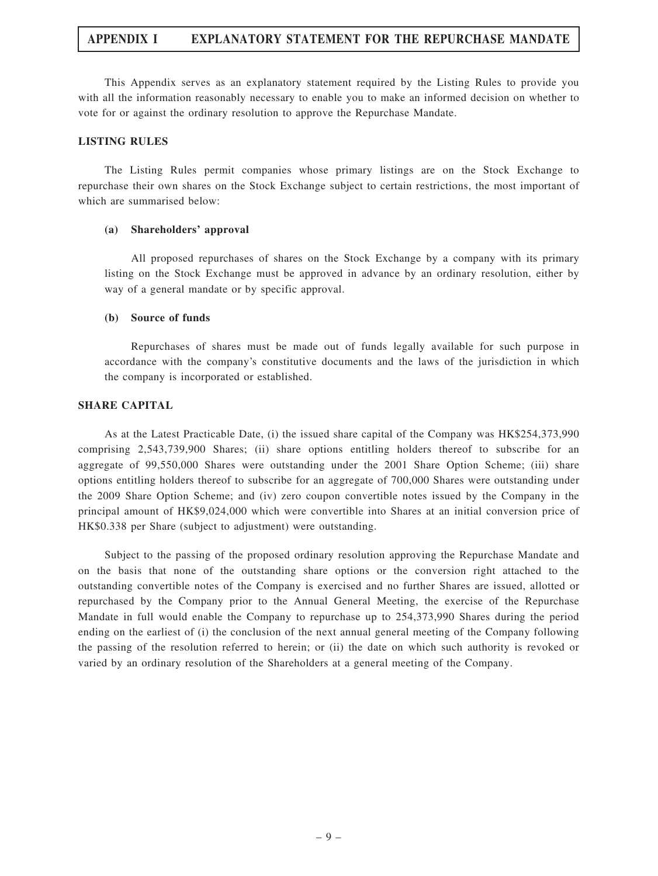This Appendix serves as an explanatory statement required by the Listing Rules to provide you with all the information reasonably necessary to enable you to make an informed decision on whether to vote for or against the ordinary resolution to approve the Repurchase Mandate.

#### LISTING RULES

The Listing Rules permit companies whose primary listings are on the Stock Exchange to repurchase their own shares on the Stock Exchange subject to certain restrictions, the most important of which are summarised below:

#### (a) Shareholders' approval

All proposed repurchases of shares on the Stock Exchange by a company with its primary listing on the Stock Exchange must be approved in advance by an ordinary resolution, either by way of a general mandate or by specific approval.

#### (b) Source of funds

Repurchases of shares must be made out of funds legally available for such purpose in accordance with the company's constitutive documents and the laws of the jurisdiction in which the company is incorporated or established.

#### SHARE CAPITAL

As at the Latest Practicable Date, (i) the issued share capital of the Company was HK\$254,373,990 comprising 2,543,739,900 Shares; (ii) share options entitling holders thereof to subscribe for an aggregate of 99,550,000 Shares were outstanding under the 2001 Share Option Scheme; (iii) share options entitling holders thereof to subscribe for an aggregate of 700,000 Shares were outstanding under the 2009 Share Option Scheme; and (iv) zero coupon convertible notes issued by the Company in the principal amount of HK\$9,024,000 which were convertible into Shares at an initial conversion price of HK\$0.338 per Share (subject to adjustment) were outstanding.

Subject to the passing of the proposed ordinary resolution approving the Repurchase Mandate and on the basis that none of the outstanding share options or the conversion right attached to the outstanding convertible notes of the Company is exercised and no further Shares are issued, allotted or repurchased by the Company prior to the Annual General Meeting, the exercise of the Repurchase Mandate in full would enable the Company to repurchase up to 254,373,990 Shares during the period ending on the earliest of (i) the conclusion of the next annual general meeting of the Company following the passing of the resolution referred to herein; or (ii) the date on which such authority is revoked or varied by an ordinary resolution of the Shareholders at a general meeting of the Company.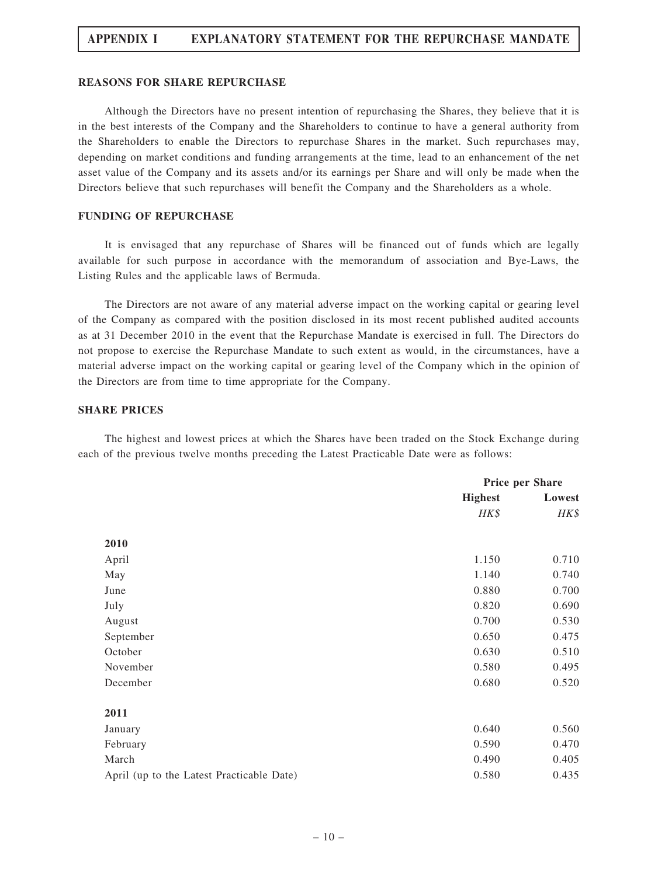#### REASONS FOR SHARE REPURCHASE

Although the Directors have no present intention of repurchasing the Shares, they believe that it is in the best interests of the Company and the Shareholders to continue to have a general authority from the Shareholders to enable the Directors to repurchase Shares in the market. Such repurchases may, depending on market conditions and funding arrangements at the time, lead to an enhancement of the net asset value of the Company and its assets and/or its earnings per Share and will only be made when the Directors believe that such repurchases will benefit the Company and the Shareholders as a whole.

#### FUNDING OF REPURCHASE

It is envisaged that any repurchase of Shares will be financed out of funds which are legally available for such purpose in accordance with the memorandum of association and Bye-Laws, the Listing Rules and the applicable laws of Bermuda.

The Directors are not aware of any material adverse impact on the working capital or gearing level of the Company as compared with the position disclosed in its most recent published audited accounts as at 31 December 2010 in the event that the Repurchase Mandate is exercised in full. The Directors do not propose to exercise the Repurchase Mandate to such extent as would, in the circumstances, have a material adverse impact on the working capital or gearing level of the Company which in the opinion of the Directors are from time to time appropriate for the Company.

#### SHARE PRICES

The highest and lowest prices at which the Shares have been traded on the Stock Exchange during each of the previous twelve months preceding the Latest Practicable Date were as follows:

|                                           | Price per Share |        |
|-------------------------------------------|-----------------|--------|
|                                           | <b>Highest</b>  | Lowest |
|                                           | HK\$            | HK\$   |
| 2010                                      |                 |        |
| April                                     | 1.150           | 0.710  |
| May                                       | 1.140           | 0.740  |
| June                                      | 0.880           | 0.700  |
| July                                      | 0.820           | 0.690  |
| August                                    | 0.700           | 0.530  |
| September                                 | 0.650           | 0.475  |
| October                                   | 0.630           | 0.510  |
| November                                  | 0.580           | 0.495  |
| December                                  | 0.680           | 0.520  |
| 2011                                      |                 |        |
| January                                   | 0.640           | 0.560  |
| February                                  | 0.590           | 0.470  |
| March                                     | 0.490           | 0.405  |
| April (up to the Latest Practicable Date) | 0.580           | 0.435  |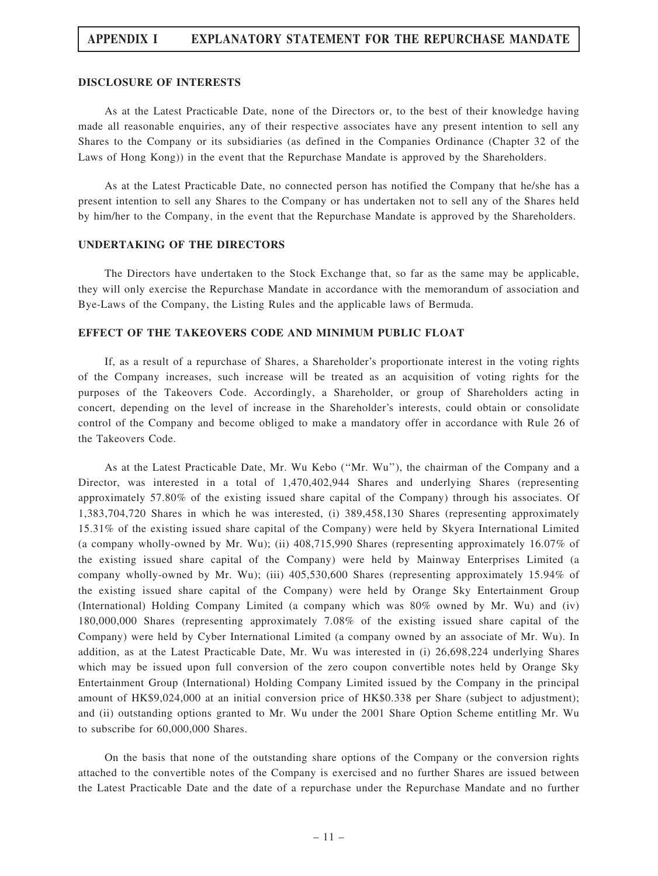#### DISCLOSURE OF INTERESTS

As at the Latest Practicable Date, none of the Directors or, to the best of their knowledge having made all reasonable enquiries, any of their respective associates have any present intention to sell any Shares to the Company or its subsidiaries (as defined in the Companies Ordinance (Chapter 32 of the Laws of Hong Kong)) in the event that the Repurchase Mandate is approved by the Shareholders.

As at the Latest Practicable Date, no connected person has notified the Company that he/she has a present intention to sell any Shares to the Company or has undertaken not to sell any of the Shares held by him/her to the Company, in the event that the Repurchase Mandate is approved by the Shareholders.

#### UNDERTAKING OF THE DIRECTORS

The Directors have undertaken to the Stock Exchange that, so far as the same may be applicable, they will only exercise the Repurchase Mandate in accordance with the memorandum of association and Bye-Laws of the Company, the Listing Rules and the applicable laws of Bermuda.

#### EFFECT OF THE TAKEOVERS CODE AND MINIMUM PUBLIC FLOAT

If, as a result of a repurchase of Shares, a Shareholder's proportionate interest in the voting rights of the Company increases, such increase will be treated as an acquisition of voting rights for the purposes of the Takeovers Code. Accordingly, a Shareholder, or group of Shareholders acting in concert, depending on the level of increase in the Shareholder's interests, could obtain or consolidate control of the Company and become obliged to make a mandatory offer in accordance with Rule 26 of the Takeovers Code.

As at the Latest Practicable Date, Mr. Wu Kebo (''Mr. Wu''), the chairman of the Company and a Director, was interested in a total of 1,470,402,944 Shares and underlying Shares (representing approximately 57.80% of the existing issued share capital of the Company) through his associates. Of 1,383,704,720 Shares in which he was interested, (i) 389,458,130 Shares (representing approximately 15.31% of the existing issued share capital of the Company) were held by Skyera International Limited (a company wholly-owned by Mr. Wu); (ii) 408,715,990 Shares (representing approximately 16.07% of the existing issued share capital of the Company) were held by Mainway Enterprises Limited (a company wholly-owned by Mr. Wu); (iii) 405,530,600 Shares (representing approximately 15.94% of the existing issued share capital of the Company) were held by Orange Sky Entertainment Group (International) Holding Company Limited (a company which was 80% owned by Mr. Wu) and (iv) 180,000,000 Shares (representing approximately 7.08% of the existing issued share capital of the Company) were held by Cyber International Limited (a company owned by an associate of Mr. Wu). In addition, as at the Latest Practicable Date, Mr. Wu was interested in (i) 26,698,224 underlying Shares which may be issued upon full conversion of the zero coupon convertible notes held by Orange Sky Entertainment Group (International) Holding Company Limited issued by the Company in the principal amount of HK\$9,024,000 at an initial conversion price of HK\$0.338 per Share (subject to adjustment); and (ii) outstanding options granted to Mr. Wu under the 2001 Share Option Scheme entitling Mr. Wu to subscribe for 60,000,000 Shares.

On the basis that none of the outstanding share options of the Company or the conversion rights attached to the convertible notes of the Company is exercised and no further Shares are issued between the Latest Practicable Date and the date of a repurchase under the Repurchase Mandate and no further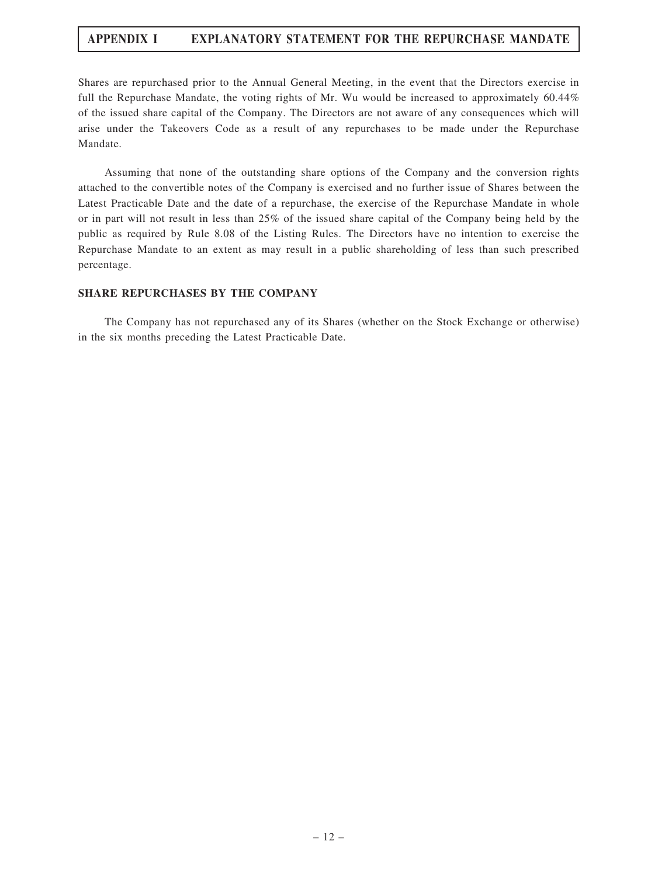Shares are repurchased prior to the Annual General Meeting, in the event that the Directors exercise in full the Repurchase Mandate, the voting rights of Mr. Wu would be increased to approximately 60.44% of the issued share capital of the Company. The Directors are not aware of any consequences which will arise under the Takeovers Code as a result of any repurchases to be made under the Repurchase Mandate.

Assuming that none of the outstanding share options of the Company and the conversion rights attached to the convertible notes of the Company is exercised and no further issue of Shares between the Latest Practicable Date and the date of a repurchase, the exercise of the Repurchase Mandate in whole or in part will not result in less than 25% of the issued share capital of the Company being held by the public as required by Rule 8.08 of the Listing Rules. The Directors have no intention to exercise the Repurchase Mandate to an extent as may result in a public shareholding of less than such prescribed percentage.

### SHARE REPURCHASES BY THE COMPANY

The Company has not repurchased any of its Shares (whether on the Stock Exchange or otherwise) in the six months preceding the Latest Practicable Date.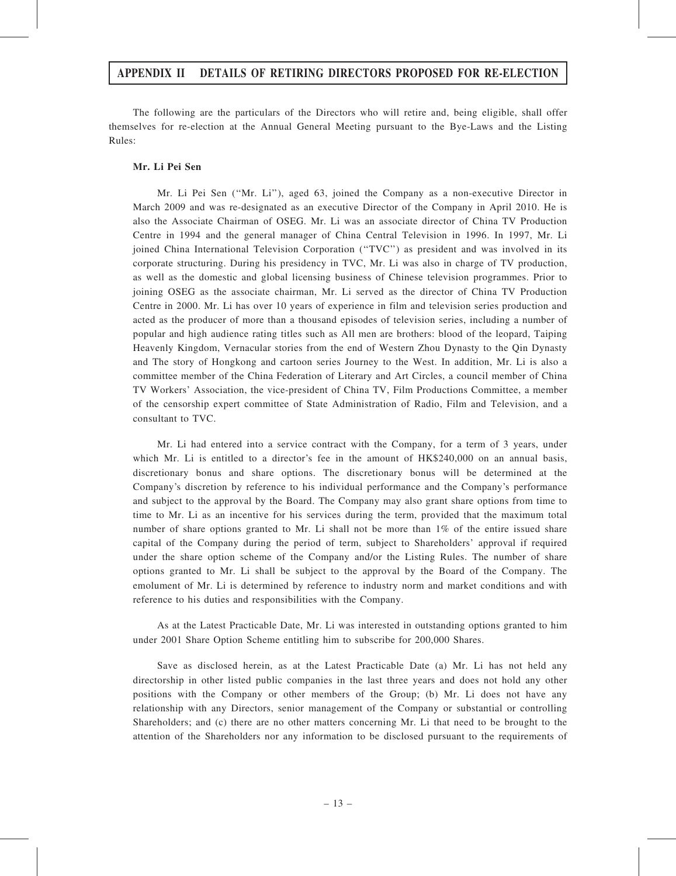### APPENDIX II DETAILS OF RETIRING DIRECTORS PROPOSED FOR RE-ELECTION

The following are the particulars of the Directors who will retire and, being eligible, shall offer themselves for re-election at the Annual General Meeting pursuant to the Bye-Laws and the Listing Rules:

### Mr. Li Pei Sen

Mr. Li Pei Sen (''Mr. Li''), aged 63, joined the Company as a non-executive Director in March 2009 and was re-designated as an executive Director of the Company in April 2010. He is also the Associate Chairman of OSEG. Mr. Li was an associate director of China TV Production Centre in 1994 and the general manager of China Central Television in 1996. In 1997, Mr. Li joined China International Television Corporation (''TVC'') as president and was involved in its corporate structuring. During his presidency in TVC, Mr. Li was also in charge of TV production, as well as the domestic and global licensing business of Chinese television programmes. Prior to joining OSEG as the associate chairman, Mr. Li served as the director of China TV Production Centre in 2000. Mr. Li has over 10 years of experience in film and television series production and acted as the producer of more than a thousand episodes of television series, including a number of popular and high audience rating titles such as All men are brothers: blood of the leopard, Taiping Heavenly Kingdom, Vernacular stories from the end of Western Zhou Dynasty to the Qin Dynasty and The story of Hongkong and cartoon series Journey to the West. In addition, Mr. Li is also a committee member of the China Federation of Literary and Art Circles, a council member of China TV Workers' Association, the vice-president of China TV, Film Productions Committee, a member of the censorship expert committee of State Administration of Radio, Film and Television, and a consultant to TVC.

Mr. Li had entered into a service contract with the Company, for a term of 3 years, under which Mr. Li is entitled to a director's fee in the amount of HK\$240,000 on an annual basis, discretionary bonus and share options. The discretionary bonus will be determined at the Company's discretion by reference to his individual performance and the Company's performance and subject to the approval by the Board. The Company may also grant share options from time to time to Mr. Li as an incentive for his services during the term, provided that the maximum total number of share options granted to Mr. Li shall not be more than 1% of the entire issued share capital of the Company during the period of term, subject to Shareholders' approval if required under the share option scheme of the Company and/or the Listing Rules. The number of share options granted to Mr. Li shall be subject to the approval by the Board of the Company. The emolument of Mr. Li is determined by reference to industry norm and market conditions and with reference to his duties and responsibilities with the Company.

As at the Latest Practicable Date, Mr. Li was interested in outstanding options granted to him under 2001 Share Option Scheme entitling him to subscribe for 200,000 Shares.

Save as disclosed herein, as at the Latest Practicable Date (a) Mr. Li has not held any directorship in other listed public companies in the last three years and does not hold any other positions with the Company or other members of the Group; (b) Mr. Li does not have any relationship with any Directors, senior management of the Company or substantial or controlling Shareholders; and (c) there are no other matters concerning Mr. Li that need to be brought to the attention of the Shareholders nor any information to be disclosed pursuant to the requirements of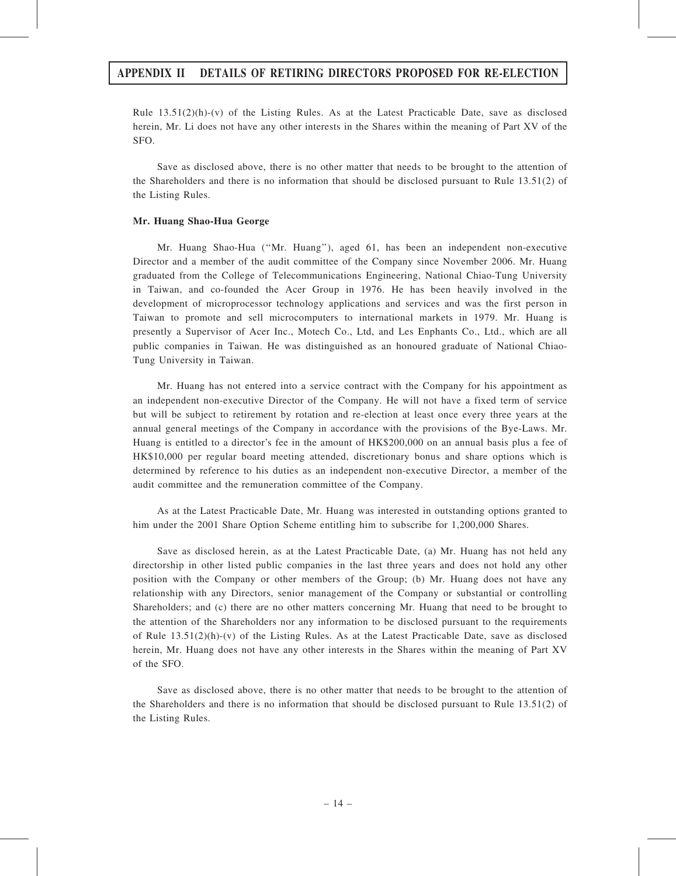### APPENDIX II DETAILS OF RETIRING DIRECTORS PROPOSED FOR RE-ELECTION

Rule  $13.51(2)(h)-(v)$  of the Listing Rules. As at the Latest Practicable Date, save as disclosed herein, Mr. Li does not have any other interests in the Shares within the meaning of Part XV of the SFO.

Save as disclosed above, there is no other matter that needs to be brought to the attention of the Shareholders and there is no information that should be disclosed pursuant to Rule 13.51(2) of the Listing Rules.

#### Mr. Huang Shao-Hua George

Mr. Huang Shao-Hua (''Mr. Huang''), aged 61, has been an independent non-executive Director and a member of the audit committee of the Company since November 2006. Mr. Huang graduated from the College of Telecommunications Engineering, National Chiao-Tung University in Taiwan, and co-founded the Acer Group in 1976. He has been heavily involved in the development of microprocessor technology applications and services and was the first person in Taiwan to promote and sell microcomputers to international markets in 1979. Mr. Huang is presently a Supervisor of Acer Inc., Motech Co., Ltd, and Les Enphants Co., Ltd., which are all public companies in Taiwan. He was distinguished as an honoured graduate of National Chiao-Tung University in Taiwan.

Mr. Huang has not entered into a service contract with the Company for his appointment as an independent non-executive Director of the Company. He will not have a fixed term of service but will be subject to retirement by rotation and re-election at least once every three years at the annual general meetings of the Company in accordance with the provisions of the Bye-Laws. Mr. Huang is entitled to a director's fee in the amount of HK\$200,000 on an annual basis plus a fee of HK\$10,000 per regular board meeting attended, discretionary bonus and share options which is determined by reference to his duties as an independent non-executive Director, a member of the audit committee and the remuneration committee of the Company.

As at the Latest Practicable Date, Mr. Huang was interested in outstanding options granted to him under the 2001 Share Option Scheme entitling him to subscribe for 1,200,000 Shares.

Save as disclosed herein, as at the Latest Practicable Date, (a) Mr. Huang has not held any directorship in other listed public companies in the last three years and does not hold any other position with the Company or other members of the Group; (b) Mr. Huang does not have any relationship with any Directors, senior management of the Company or substantial or controlling Shareholders; and (c) there are no other matters concerning Mr. Huang that need to be brought to the attention of the Shareholders nor any information to be disclosed pursuant to the requirements of Rule  $13.51(2)(h)-(v)$  of the Listing Rules. As at the Latest Practicable Date, save as disclosed herein, Mr. Huang does not have any other interests in the Shares within the meaning of Part XV of the SFO.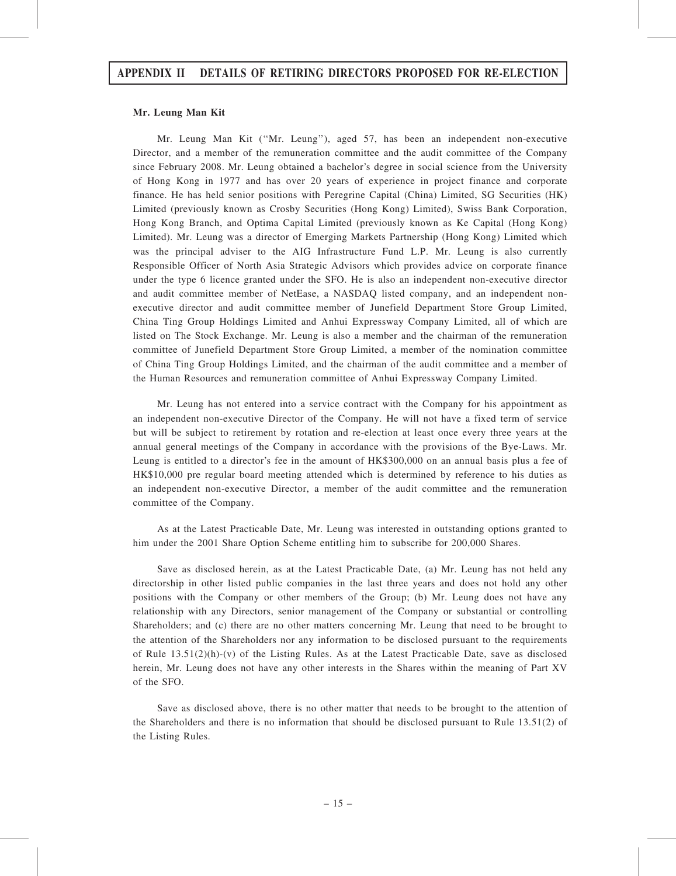#### Mr. Leung Man Kit

Mr. Leung Man Kit (''Mr. Leung''), aged 57, has been an independent non-executive Director, and a member of the remuneration committee and the audit committee of the Company since February 2008. Mr. Leung obtained a bachelor's degree in social science from the University of Hong Kong in 1977 and has over 20 years of experience in project finance and corporate finance. He has held senior positions with Peregrine Capital (China) Limited, SG Securities (HK) Limited (previously known as Crosby Securities (Hong Kong) Limited), Swiss Bank Corporation, Hong Kong Branch, and Optima Capital Limited (previously known as Ke Capital (Hong Kong) Limited). Mr. Leung was a director of Emerging Markets Partnership (Hong Kong) Limited which was the principal adviser to the AIG Infrastructure Fund L.P. Mr. Leung is also currently Responsible Officer of North Asia Strategic Advisors which provides advice on corporate finance under the type 6 licence granted under the SFO. He is also an independent non-executive director and audit committee member of NetEase, a NASDAQ listed company, and an independent nonexecutive director and audit committee member of Junefield Department Store Group Limited, China Ting Group Holdings Limited and Anhui Expressway Company Limited, all of which are listed on The Stock Exchange. Mr. Leung is also a member and the chairman of the remuneration committee of Junefield Department Store Group Limited, a member of the nomination committee of China Ting Group Holdings Limited, and the chairman of the audit committee and a member of the Human Resources and remuneration committee of Anhui Expressway Company Limited.

Mr. Leung has not entered into a service contract with the Company for his appointment as an independent non-executive Director of the Company. He will not have a fixed term of service but will be subject to retirement by rotation and re-election at least once every three years at the annual general meetings of the Company in accordance with the provisions of the Bye-Laws. Mr. Leung is entitled to a director's fee in the amount of HK\$300,000 on an annual basis plus a fee of HK\$10,000 pre regular board meeting attended which is determined by reference to his duties as an independent non-executive Director, a member of the audit committee and the remuneration committee of the Company.

As at the Latest Practicable Date, Mr. Leung was interested in outstanding options granted to him under the 2001 Share Option Scheme entitling him to subscribe for 200,000 Shares.

Save as disclosed herein, as at the Latest Practicable Date, (a) Mr. Leung has not held any directorship in other listed public companies in the last three years and does not hold any other positions with the Company or other members of the Group; (b) Mr. Leung does not have any relationship with any Directors, senior management of the Company or substantial or controlling Shareholders; and (c) there are no other matters concerning Mr. Leung that need to be brought to the attention of the Shareholders nor any information to be disclosed pursuant to the requirements of Rule  $13.51(2)(h)-(v)$  of the Listing Rules. As at the Latest Practicable Date, save as disclosed herein, Mr. Leung does not have any other interests in the Shares within the meaning of Part XV of the SFO.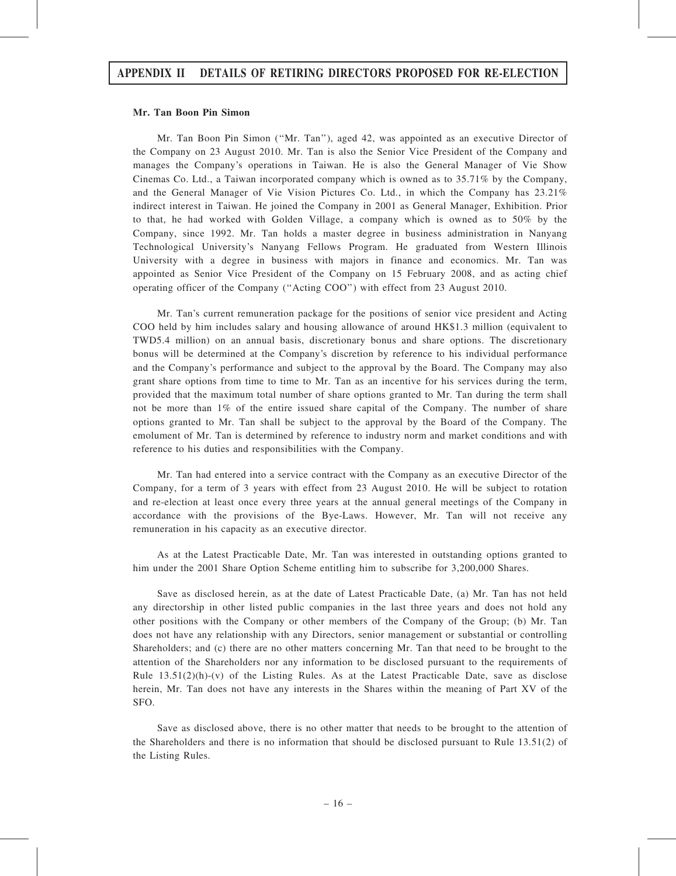#### Mr. Tan Boon Pin Simon

Mr. Tan Boon Pin Simon (''Mr. Tan''), aged 42, was appointed as an executive Director of the Company on 23 August 2010. Mr. Tan is also the Senior Vice President of the Company and manages the Company's operations in Taiwan. He is also the General Manager of Vie Show Cinemas Co. Ltd., a Taiwan incorporated company which is owned as to 35.71% by the Company, and the General Manager of Vie Vision Pictures Co. Ltd., in which the Company has 23.21% indirect interest in Taiwan. He joined the Company in 2001 as General Manager, Exhibition. Prior to that, he had worked with Golden Village, a company which is owned as to 50% by the Company, since 1992. Mr. Tan holds a master degree in business administration in Nanyang Technological University's Nanyang Fellows Program. He graduated from Western Illinois University with a degree in business with majors in finance and economics. Mr. Tan was appointed as Senior Vice President of the Company on 15 February 2008, and as acting chief operating officer of the Company (''Acting COO'') with effect from 23 August 2010.

Mr. Tan's current remuneration package for the positions of senior vice president and Acting COO held by him includes salary and housing allowance of around HK\$1.3 million (equivalent to TWD5.4 million) on an annual basis, discretionary bonus and share options. The discretionary bonus will be determined at the Company's discretion by reference to his individual performance and the Company's performance and subject to the approval by the Board. The Company may also grant share options from time to time to Mr. Tan as an incentive for his services during the term, provided that the maximum total number of share options granted to Mr. Tan during the term shall not be more than 1% of the entire issued share capital of the Company. The number of share options granted to Mr. Tan shall be subject to the approval by the Board of the Company. The emolument of Mr. Tan is determined by reference to industry norm and market conditions and with reference to his duties and responsibilities with the Company.

Mr. Tan had entered into a service contract with the Company as an executive Director of the Company, for a term of 3 years with effect from 23 August 2010. He will be subject to rotation and re-election at least once every three years at the annual general meetings of the Company in accordance with the provisions of the Bye-Laws. However, Mr. Tan will not receive any remuneration in his capacity as an executive director.

As at the Latest Practicable Date, Mr. Tan was interested in outstanding options granted to him under the 2001 Share Option Scheme entitling him to subscribe for 3,200,000 Shares.

Save as disclosed herein, as at the date of Latest Practicable Date, (a) Mr. Tan has not held any directorship in other listed public companies in the last three years and does not hold any other positions with the Company or other members of the Company of the Group; (b) Mr. Tan does not have any relationship with any Directors, senior management or substantial or controlling Shareholders; and (c) there are no other matters concerning Mr. Tan that need to be brought to the attention of the Shareholders nor any information to be disclosed pursuant to the requirements of Rule  $13.51(2)(h)-(v)$  of the Listing Rules. As at the Latest Practicable Date, save as disclose herein, Mr. Tan does not have any interests in the Shares within the meaning of Part XV of the SFO.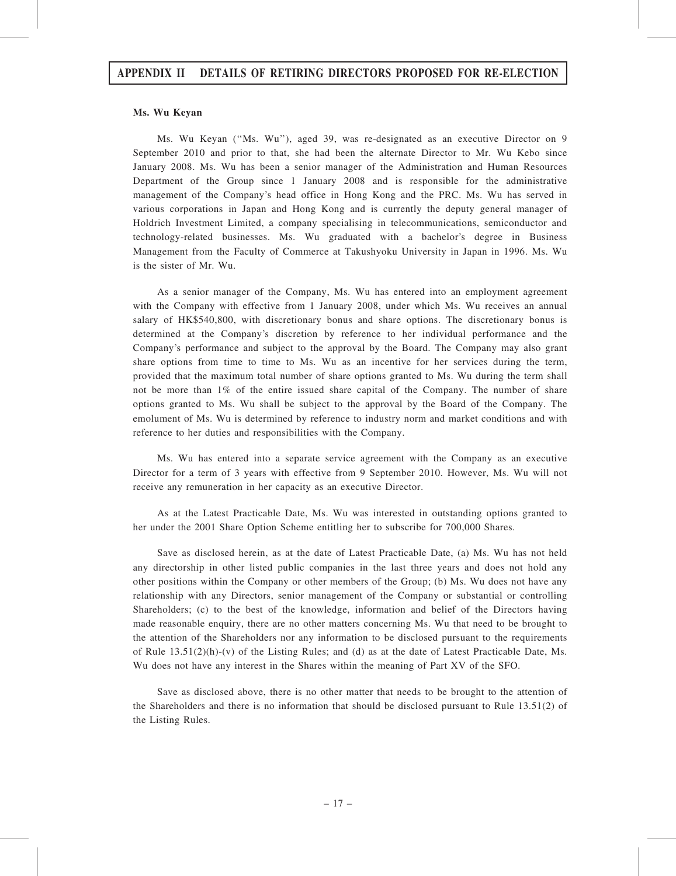#### Ms. Wu Keyan

Ms. Wu Keyan (''Ms. Wu''), aged 39, was re-designated as an executive Director on 9 September 2010 and prior to that, she had been the alternate Director to Mr. Wu Kebo since January 2008. Ms. Wu has been a senior manager of the Administration and Human Resources Department of the Group since 1 January 2008 and is responsible for the administrative management of the Company's head office in Hong Kong and the PRC. Ms. Wu has served in various corporations in Japan and Hong Kong and is currently the deputy general manager of Holdrich Investment Limited, a company specialising in telecommunications, semiconductor and technology-related businesses. Ms. Wu graduated with a bachelor's degree in Business Management from the Faculty of Commerce at Takushyoku University in Japan in 1996. Ms. Wu is the sister of Mr. Wu.

As a senior manager of the Company, Ms. Wu has entered into an employment agreement with the Company with effective from 1 January 2008, under which Ms. Wu receives an annual salary of HK\$540,800, with discretionary bonus and share options. The discretionary bonus is determined at the Company's discretion by reference to her individual performance and the Company's performance and subject to the approval by the Board. The Company may also grant share options from time to time to Ms. Wu as an incentive for her services during the term, provided that the maximum total number of share options granted to Ms. Wu during the term shall not be more than 1% of the entire issued share capital of the Company. The number of share options granted to Ms. Wu shall be subject to the approval by the Board of the Company. The emolument of Ms. Wu is determined by reference to industry norm and market conditions and with reference to her duties and responsibilities with the Company.

Ms. Wu has entered into a separate service agreement with the Company as an executive Director for a term of 3 years with effective from 9 September 2010. However, Ms. Wu will not receive any remuneration in her capacity as an executive Director.

As at the Latest Practicable Date, Ms. Wu was interested in outstanding options granted to her under the 2001 Share Option Scheme entitling her to subscribe for 700,000 Shares.

Save as disclosed herein, as at the date of Latest Practicable Date, (a) Ms. Wu has not held any directorship in other listed public companies in the last three years and does not hold any other positions within the Company or other members of the Group; (b) Ms. Wu does not have any relationship with any Directors, senior management of the Company or substantial or controlling Shareholders; (c) to the best of the knowledge, information and belief of the Directors having made reasonable enquiry, there are no other matters concerning Ms. Wu that need to be brought to the attention of the Shareholders nor any information to be disclosed pursuant to the requirements of Rule  $13.51(2)(h)-(v)$  of the Listing Rules; and (d) as at the date of Latest Practicable Date, Ms. Wu does not have any interest in the Shares within the meaning of Part XV of the SFO.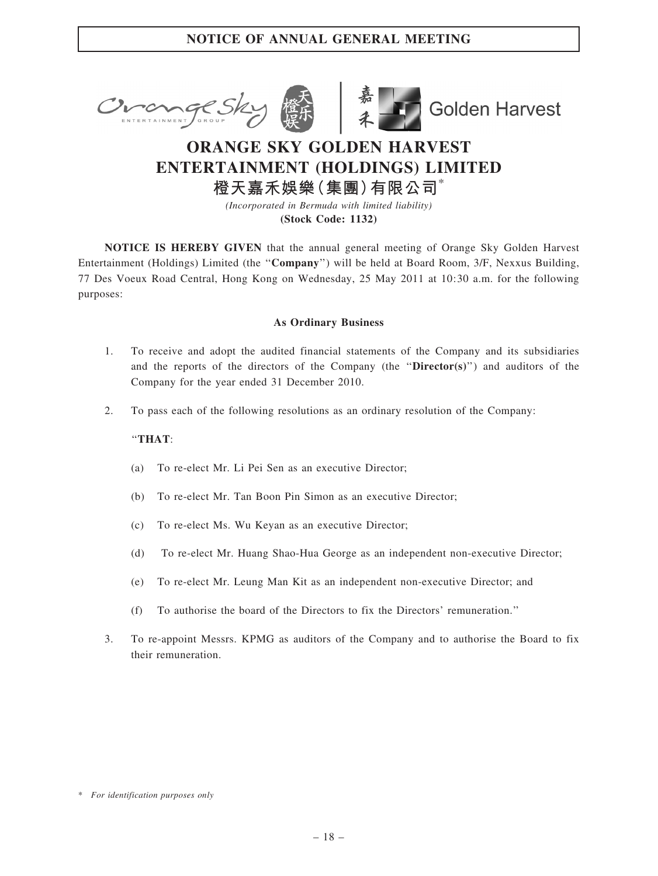



**Golden Harvest** 

# ORANGE SKY GOLDEN HARVEST ENTERTAINMENT (HOLDINGS) LIMITED 橙天嘉禾娛樂(集團)有限公司\*

(Incorporated in Bermuda with limited liability) (Stock Code: 1132)

NOTICE IS HEREBY GIVEN that the annual general meeting of Orange Sky Golden Harvest Entertainment (Holdings) Limited (the "Company") will be held at Board Room, 3/F, Nexxus Building, 77 Des Voeux Road Central, Hong Kong on Wednesday, 25 May 2011 at 10:30 a.m. for the following purposes:

### As Ordinary Business

- 1. To receive and adopt the audited financial statements of the Company and its subsidiaries and the reports of the directors of the Company (the " $\text{Directory}(s)$ ") and auditors of the Company for the year ended 31 December 2010.
- 2. To pass each of the following resolutions as an ordinary resolution of the Company:

### ''THAT:

- (a) To re-elect Mr. Li Pei Sen as an executive Director;
- (b) To re-elect Mr. Tan Boon Pin Simon as an executive Director;
- (c) To re-elect Ms. Wu Keyan as an executive Director;
- (d) To re-elect Mr. Huang Shao-Hua George as an independent non-executive Director;
- (e) To re-elect Mr. Leung Man Kit as an independent non-executive Director; and
- (f) To authorise the board of the Directors to fix the Directors' remuneration.''
- 3. To re-appoint Messrs. KPMG as auditors of the Company and to authorise the Board to fix their remuneration.

<sup>\*</sup> For identification purposes only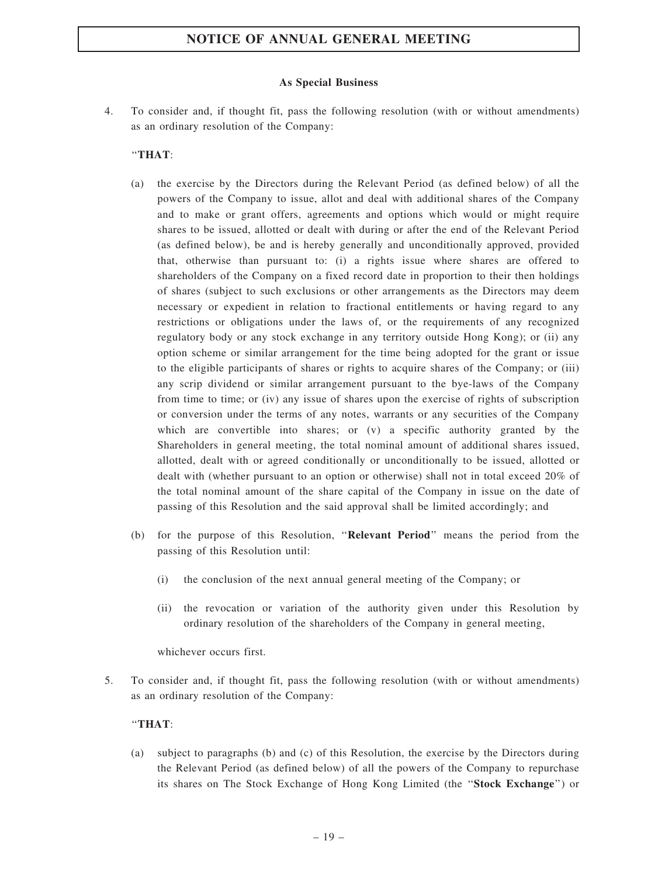### As Special Business

4. To consider and, if thought fit, pass the following resolution (with or without amendments) as an ordinary resolution of the Company:

### ''THAT:

- (a) the exercise by the Directors during the Relevant Period (as defined below) of all the powers of the Company to issue, allot and deal with additional shares of the Company and to make or grant offers, agreements and options which would or might require shares to be issued, allotted or dealt with during or after the end of the Relevant Period (as defined below), be and is hereby generally and unconditionally approved, provided that, otherwise than pursuant to: (i) a rights issue where shares are offered to shareholders of the Company on a fixed record date in proportion to their then holdings of shares (subject to such exclusions or other arrangements as the Directors may deem necessary or expedient in relation to fractional entitlements or having regard to any restrictions or obligations under the laws of, or the requirements of any recognized regulatory body or any stock exchange in any territory outside Hong Kong); or (ii) any option scheme or similar arrangement for the time being adopted for the grant or issue to the eligible participants of shares or rights to acquire shares of the Company; or (iii) any scrip dividend or similar arrangement pursuant to the bye-laws of the Company from time to time; or (iv) any issue of shares upon the exercise of rights of subscription or conversion under the terms of any notes, warrants or any securities of the Company which are convertible into shares; or (v) a specific authority granted by the Shareholders in general meeting, the total nominal amount of additional shares issued, allotted, dealt with or agreed conditionally or unconditionally to be issued, allotted or dealt with (whether pursuant to an option or otherwise) shall not in total exceed 20% of the total nominal amount of the share capital of the Company in issue on the date of passing of this Resolution and the said approval shall be limited accordingly; and
- (b) for the purpose of this Resolution, ''Relevant Period'' means the period from the passing of this Resolution until:
	- (i) the conclusion of the next annual general meeting of the Company; or
	- (ii) the revocation or variation of the authority given under this Resolution by ordinary resolution of the shareholders of the Company in general meeting,

whichever occurs first.

5. To consider and, if thought fit, pass the following resolution (with or without amendments) as an ordinary resolution of the Company:

### ''THAT:

(a) subject to paragraphs (b) and (c) of this Resolution, the exercise by the Directors during the Relevant Period (as defined below) of all the powers of the Company to repurchase its shares on The Stock Exchange of Hong Kong Limited (the ''Stock Exchange'') or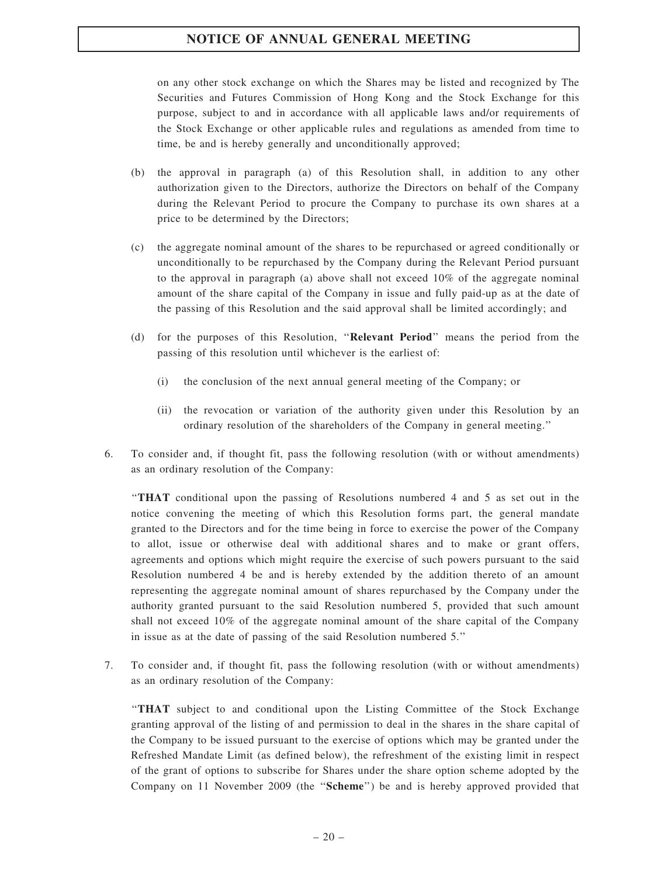on any other stock exchange on which the Shares may be listed and recognized by The Securities and Futures Commission of Hong Kong and the Stock Exchange for this purpose, subject to and in accordance with all applicable laws and/or requirements of the Stock Exchange or other applicable rules and regulations as amended from time to time, be and is hereby generally and unconditionally approved;

- (b) the approval in paragraph (a) of this Resolution shall, in addition to any other authorization given to the Directors, authorize the Directors on behalf of the Company during the Relevant Period to procure the Company to purchase its own shares at a price to be determined by the Directors;
- (c) the aggregate nominal amount of the shares to be repurchased or agreed conditionally or unconditionally to be repurchased by the Company during the Relevant Period pursuant to the approval in paragraph (a) above shall not exceed  $10\%$  of the aggregate nominal amount of the share capital of the Company in issue and fully paid-up as at the date of the passing of this Resolution and the said approval shall be limited accordingly; and
- (d) for the purposes of this Resolution, ''Relevant Period'' means the period from the passing of this resolution until whichever is the earliest of:
	- (i) the conclusion of the next annual general meeting of the Company; or
	- (ii) the revocation or variation of the authority given under this Resolution by an ordinary resolution of the shareholders of the Company in general meeting.''
- 6. To consider and, if thought fit, pass the following resolution (with or without amendments) as an ordinary resolution of the Company:

''THAT conditional upon the passing of Resolutions numbered 4 and 5 as set out in the notice convening the meeting of which this Resolution forms part, the general mandate granted to the Directors and for the time being in force to exercise the power of the Company to allot, issue or otherwise deal with additional shares and to make or grant offers, agreements and options which might require the exercise of such powers pursuant to the said Resolution numbered 4 be and is hereby extended by the addition thereto of an amount representing the aggregate nominal amount of shares repurchased by the Company under the authority granted pursuant to the said Resolution numbered 5, provided that such amount shall not exceed 10% of the aggregate nominal amount of the share capital of the Company in issue as at the date of passing of the said Resolution numbered 5.''

7. To consider and, if thought fit, pass the following resolution (with or without amendments) as an ordinary resolution of the Company:

''THAT subject to and conditional upon the Listing Committee of the Stock Exchange granting approval of the listing of and permission to deal in the shares in the share capital of the Company to be issued pursuant to the exercise of options which may be granted under the Refreshed Mandate Limit (as defined below), the refreshment of the existing limit in respect of the grant of options to subscribe for Shares under the share option scheme adopted by the Company on 11 November 2009 (the ''Scheme'') be and is hereby approved provided that